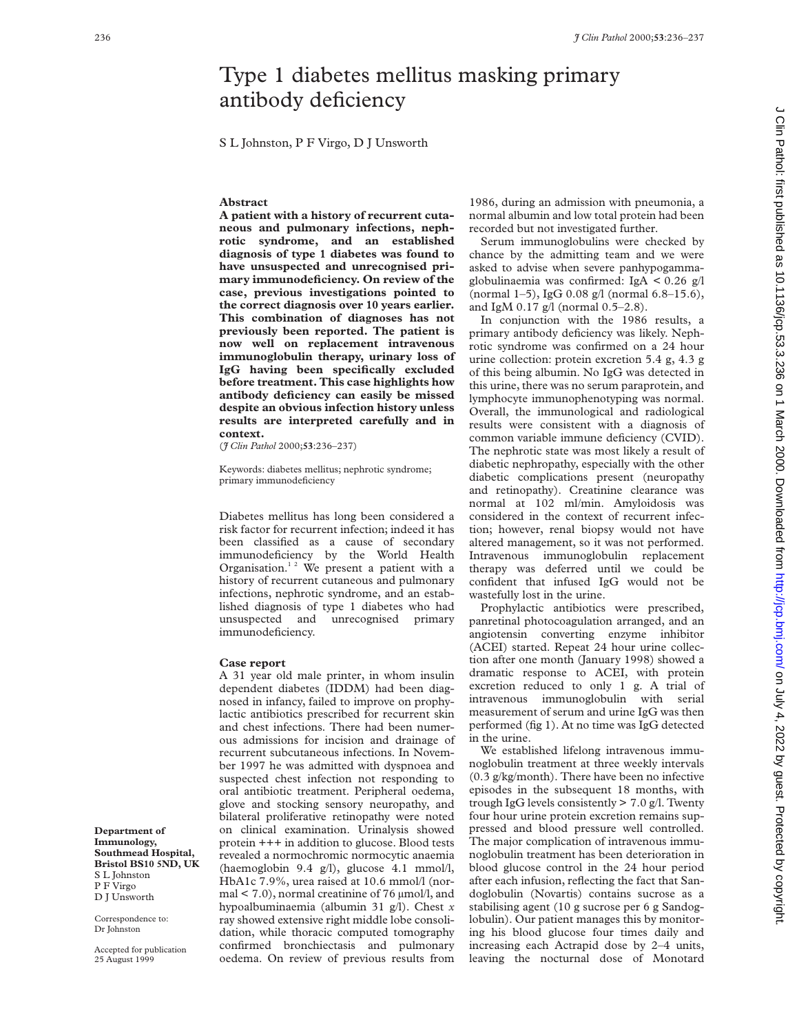## Type 1 diabetes mellitus masking primary antibody deficiency

S L Johnston, P F Virgo, D J Unsworth

## **Abstract**

**A patient with a history of recurrent cutaneous and pulmonary infections, nephrotic syndrome, and an established diagnosis of type 1 diabetes was found to have unsuspected and unrecognised primary immunodeficiency. On review of the case, previous investigations pointed to the correct diagnosis over 10 years earlier. This combination of diagnoses has not previously been reported. The patient is now well on replacement intravenous immunoglobulin therapy, urinary loss of IgG having been specifically excluded before treatment. This case highlights how antibody deficiency can easily be missed despite an obvious infection history unless results are interpreted carefully and in context.**

(*J Clin Pathol* 2000;**53**:236–237)

Keywords: diabetes mellitus; nephrotic syndrome; primary immunodeficiency

Diabetes mellitus has long been considered a risk factor for recurrent infection; indeed it has been classified as a cause of secondary immunodeficiency by the World Health Organisation. $12$  We present a patient with a history of recurrent cutaneous and pulmonary infections, nephrotic syndrome, and an established diagnosis of type 1 diabetes who had unsuspected and unrecognised primary immunodeficiency.

## **Case report**

A 31 year old male printer, in whom insulin dependent diabetes (IDDM) had been diagnosed in infancy, failed to improve on prophylactic antibiotics prescribed for recurrent skin and chest infections. There had been numerous admissions for incision and drainage of recurrent subcutaneous infections. In November 1997 he was admitted with dyspnoea and suspected chest infection not responding to oral antibiotic treatment. Peripheral oedema, glove and stocking sensory neuropathy, and bilateral proliferative retinopathy were noted on clinical examination. Urinalysis showed protein +++ in addition to glucose. Blood tests revealed a normochromic normocytic anaemia (haemoglobin 9.4 g/l), glucose 4.1 mmol/l, HbA1c 7.9%, urea raised at 10.6 mmol/l (normal < 7.0), normal creatinine of 76 µmol/l, and hypoalbuminaemia (albumin 31 g/l). Chest *x* ray showed extensive right middle lobe consolidation, while thoracic computed tomography confirmed bronchiectasis and pulmonary oedema. On review of previous results from

1986, during an admission with pneumonia, a normal albumin and low total protein had been recorded but not investigated further.

Serum immunoglobulins were checked by chance by the admitting team and we were asked to advise when severe panhypogammaglobulinaemia was confirmed: IgA < 0.26 g/l (normal 1–5), IgG 0.08 g/l (normal 6.8–15.6), and IgM 0.17 g/l (normal 0.5–2.8).

In conjunction with the 1986 results, a primary antibody deficiency was likely. Nephrotic syndrome was confirmed on a 24 hour urine collection: protein excretion 5.4 g, 4.3 g of this being albumin. No IgG was detected in this urine, there was no serum paraprotein, and lymphocyte immunophenotyping was normal. Overall, the immunological and radiological results were consistent with a diagnosis of common variable immune deficiency (CVID). The nephrotic state was most likely a result of diabetic nephropathy, especially with the other diabetic complications present (neuropathy and retinopathy). Creatinine clearance was normal at 102 ml/min. Amyloidosis was considered in the context of recurrent infection; however, renal biopsy would not have altered management, so it was not performed. Intravenous immunoglobulin replacement therapy was deferred until we could be confident that infused IgG would not be wastefully lost in the urine.

Prophylactic antibiotics were prescribed, panretinal photocoagulation arranged, and an angiotensin converting enzyme inhibitor (ACEI) started. Repeat 24 hour urine collection after one month (January 1998) showed a dramatic response to ACEI, with protein excretion reduced to only 1 g. A trial of intravenous immunoglobulin with serial measurement of serum and urine IgG was then performed (fig 1). At no time was IgG detected in the urine.

We established lifelong intravenous immunoglobulin treatment at three weekly intervals (0.3 g/kg/month). There have been no infective episodes in the subsequent 18 months, with trough IgG levels consistently  $> 7.0$  g/l. Twenty four hour urine protein excretion remains suppressed and blood pressure well controlled. The major complication of intravenous immunoglobulin treatment has been deterioration in blood glucose control in the 24 hour period after each infusion, reflecting the fact that Sandoglobulin (Novartis) contains sucrose as a stabilising agent (10 g sucrose per 6 g Sandoglobulin). Our patient manages this by monitoring his blood glucose four times daily and increasing each Actrapid dose by 2–4 units, leaving the nocturnal dose of Monotard

**Immunology, Southmead Hospital, Bristol BS10 5ND, UK** S L Johnston P F Virgo D J Unsworth

Correspondence to: Dr Johnston

**Department of**

Accepted for publication 25 August 1999